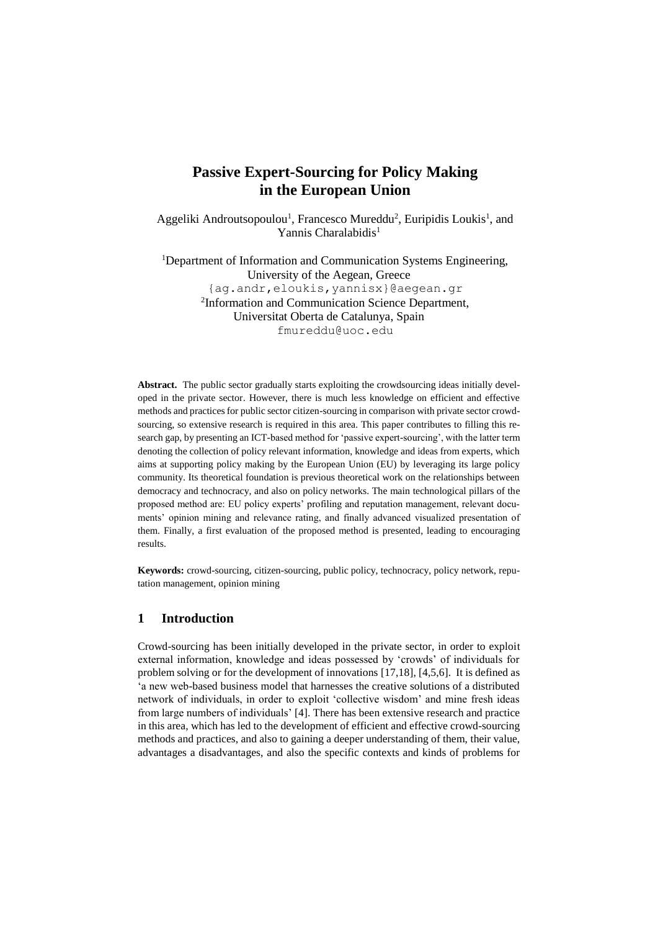# **Passive Expert-Sourcing for Policy Making in the European Union**

Aggeliki Androutsopoulou<sup>1</sup>, Francesco Mureddu<sup>2</sup>, Euripidis Loukis<sup>1</sup>, and Yannis Charalabidis<sup>1</sup>

<sup>1</sup>Department of Information and Communication Systems Engineering, University of the Aegean, Greece {ag.andr,eloukis,yannisx}@aegean.gr 2 Information and Communication Science Department, Universitat Oberta de Catalunya, Spain fmureddu@uoc.edu

**Abstract.** The public sector gradually starts exploiting the crowdsourcing ideas initially developed in the private sector. However, there is much less knowledge on efficient and effective methods and practices for public sector citizen-sourcing in comparison with private sector crowdsourcing, so extensive research is required in this area. This paper contributes to filling this research gap, by presenting an ICT-based method for 'passive expert-sourcing', with the latter term denoting the collection of policy relevant information, knowledge and ideas from experts, which aims at supporting policy making by the European Union (EU) by leveraging its large policy community. Its theoretical foundation is previous theoretical work on the relationships between democracy and technocracy, and also on policy networks. The main technological pillars of the proposed method are: EU policy experts' profiling and reputation management, relevant documents' opinion mining and relevance rating, and finally advanced visualized presentation of them. Finally, a first evaluation of the proposed method is presented, leading to encouraging results.

**Keywords:** crowd-sourcing, citizen-sourcing, public policy, technocracy, policy network, reputation management, opinion mining

### **1 Introduction**

Crowd-sourcing has been initially developed in the private sector, in order to exploit external information, knowledge and ideas possessed by 'crowds' of individuals for problem solving or for the development of innovations [\[17](#page-12-0)[,18\]](#page-12-1), [\[4](#page-11-0)[,5](#page-12-2)[,6\]](#page-12-3). It is defined as 'a new web-based business model that harnesses the creative solutions of a distributed network of individuals, in order to exploit 'collective wisdom' and mine fresh ideas from large numbers of individuals' [\[4\]](#page-11-0). There has been extensive research and practice in this area, which has led to the development of efficient and effective crowd-sourcing methods and practices, and also to gaining a deeper understanding of them, their value, advantages a disadvantages, and also the specific contexts and kinds of problems for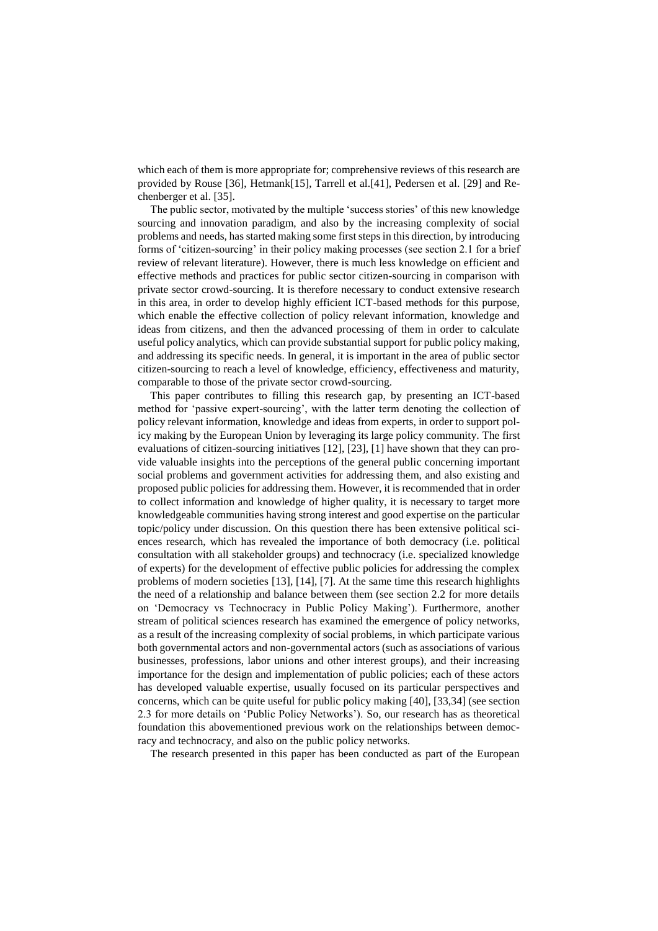which each of them is more appropriate for; comprehensive reviews of this research are provided by Rouse [\[36\]](#page-13-0), Hetmank[\[15\]](#page-12-4), Tarrell et al.[\[41\]](#page-13-1), Pedersen et al. [\[29\]](#page-13-2) and Rechenberger et al. [\[35\]](#page-13-3).

The public sector, motivated by the multiple 'success stories' of this new knowledge sourcing and innovation paradigm, and also by the increasing complexity of social problems and needs, has started making some first steps in this direction, by introducing forms of 'citizen-sourcing' in their policy making processes (see section 2.1 for a brief review of relevant literature). However, there is much less knowledge on efficient and effective methods and practices for public sector citizen-sourcing in comparison with private sector crowd-sourcing. It is therefore necessary to conduct extensive research in this area, in order to develop highly efficient ICT-based methods for this purpose, which enable the effective collection of policy relevant information, knowledge and ideas from citizens, and then the advanced processing of them in order to calculate useful policy analytics, which can provide substantial support for public policy making, and addressing its specific needs. In general, it is important in the area of public sector citizen-sourcing to reach a level of knowledge, efficiency, effectiveness and maturity, comparable to those of the private sector crowd-sourcing.

This paper contributes to filling this research gap, by presenting an ICT-based method for 'passive expert-sourcing', with the latter term denoting the collection of policy relevant information, knowledge and ideas from experts, in order to support policy making by the European Union by leveraging its large policy community. The first evaluations of citizen-sourcing initiatives [\[12\]](#page-12-5), [\[23\]](#page-12-6), [\[1\]](#page-11-1) have shown that they can provide valuable insights into the perceptions of the general public concerning important social problems and government activities for addressing them, and also existing and proposed public policies for addressing them. However, it is recommended that in order to collect information and knowledge of higher quality, it is necessary to target more knowledgeable communities having strong interest and good expertise on the particular topic/policy under discussion. On this question there has been extensive political sciences research, which has revealed the importance of both democracy (i.e. political consultation with all stakeholder groups) and technocracy (i.e. specialized knowledge of experts) for the development of effective public policies for addressing the complex problems of modern societies [\[13\]](#page-12-7), [\[14\]](#page-12-8), [\[7\]](#page-12-9). At the same time this research highlights the need of a relationship and balance between them (see section 2.2 for more details on 'Democracy vs Technocracy in Public Policy Making'). Furthermore, another stream of political sciences research has examined the emergence of policy networks, as a result of the increasing complexity of social problems, in which participate various both governmental actors and non-governmental actors (such as associations of various businesses, professions, labor unions and other interest groups), and their increasing importance for the design and implementation of public policies; each of these actors has developed valuable expertise, usually focused on its particular perspectives and concerns, which can be quite useful for public policy making [\[40\]](#page-13-4), [\[33,](#page-13-5)[34\]](#page-13-6) (see section 2.3 for more details on 'Public Policy Networks'). So, our research has as theoretical foundation this abovementioned previous work on the relationships between democracy and technocracy, and also on the public policy networks.

The research presented in this paper has been conducted as part of the European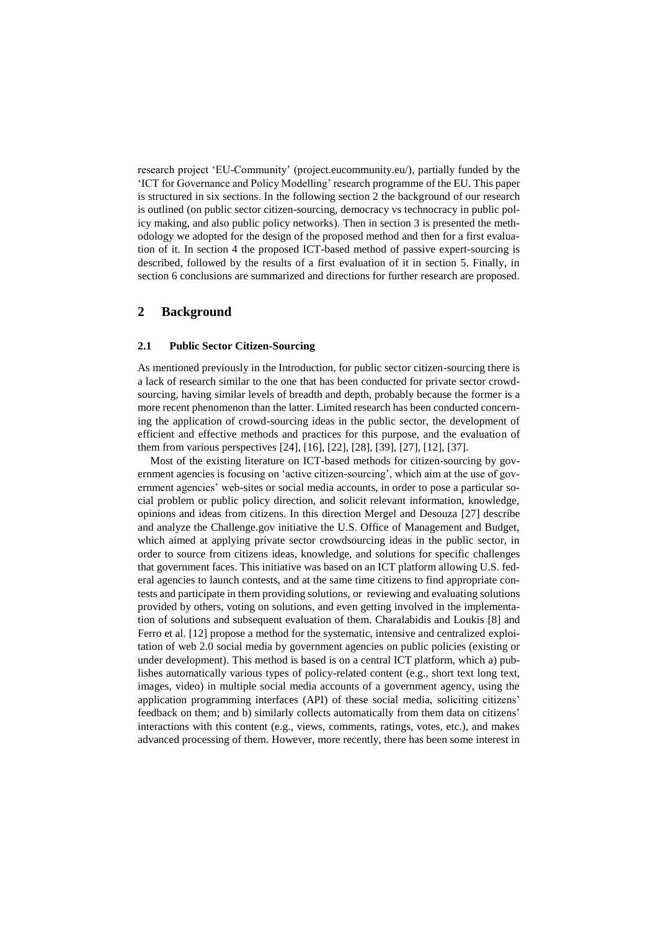research project 'EU-Community' (project.eucommunity.eu/), partially funded by the 'ICT for Governance and Policy Modelling' research programme of the EU. This paper is structured in six sections. In the following section 2 the background of our research is outlined (on public sector citizen-sourcing, democracy vs technocracy in public policy making, and also public policy networks). Then in section 3 is presented the methodology we adopted for the design of the proposed method and then for a first evaluation of it. In section 4 the proposed ICT-based method of passive expert-sourcing is described, followed by the results of a first evaluation of it in section 5. Finally, in section 6 conclusions are summarized and directions for further research are proposed.

## **2 Background**

### **2.1 Public Sector Citizen-Sourcing**

As mentioned previously in the Introduction, for public sector citizen-sourcing there is a lack of research similar to the one that has been conducted for private sector crowdsourcing, having similar levels of breadth and depth, probably because the former is a more recent phenomenon than the latter. Limited research has been conducted concerning the application of crowd-sourcing ideas in the public sector, the development of efficient and effective methods and practices for this purpose, and the evaluation of them from various perspectives [\[24\]](#page-12-10), [\[16\]](#page-12-11), [\[22\]](#page-12-12), [\[28\]](#page-13-7), [\[39\]](#page-13-8), [\[27\]](#page-13-9), [\[12\]](#page-12-5), [\[37\]](#page-13-10).

Most of the existing literature on ICT-based methods for citizen-sourcing by government agencies is focusing on 'active citizen-sourcing', which aim at the use of government agencies' web-sites or social media accounts, in order to pose a particular social problem or public policy direction, and solicit relevant information, knowledge, opinions and ideas from citizens. In this direction Mergel and Desouza [\[27\]](#page-13-9) describe and analyze the Challenge.gov initiative the U.S. Office of Management and Budget, which aimed at applying private sector crowdsourcing ideas in the public sector, in order to source from citizens ideas, knowledge, and solutions for specific challenges that government faces. This initiative was based on an ICT platform allowing U.S. federal agencies to launch contests, and at the same time citizens to find appropriate contests and participate in them providing solutions, or reviewing and evaluating solutions provided by others, voting on solutions, and even getting involved in the implementation of solutions and subsequent evaluation of them. Charalabidis and Loukis [\[8\]](#page-12-13) and Ferro et al. [\[12\]](#page-12-5) propose a method for the systematic, intensive and centralized exploitation of web 2.0 social media by government agencies on public policies (existing or under development). This method is based is on a central ICT platform, which a) publishes automatically various types of policy-related content (e.g., short text long text, images, video) in multiple social media accounts of a government agency, using the application programming interfaces (API) of these social media, soliciting citizens' feedback on them; and b) similarly collects automatically from them data on citizens' interactions with this content (e.g., views, comments, ratings, votes, etc.), and makes advanced processing of them. However, more recently, there has been some interest in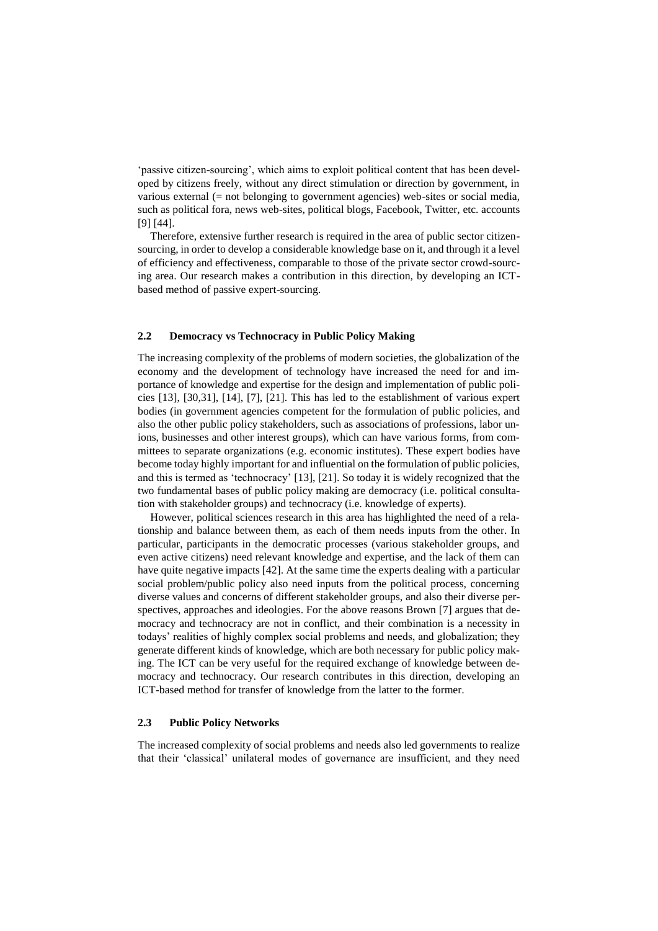'passive citizen-sourcing', which aims to exploit political content that has been developed by citizens freely, without any direct stimulation or direction by government, in various external (= not belonging to government agencies) web-sites or social media, such as political fora, news web-sites, political blogs, Facebook, Twitter, etc. accounts [\[9\]](#page-12-14) [44].

Therefore, extensive further research is required in the area of public sector citizensourcing, in order to develop a considerable knowledge base on it, and through it a level of efficiency and effectiveness, comparable to those of the private sector crowd-sourcing area. Our research makes a contribution in this direction, by developing an ICTbased method of passive expert-sourcing.

### **2.2 Democracy vs Technocracy in Public Policy Making**

The increasing complexity of the problems of modern societies, the globalization of the economy and the development of technology have increased the need for and importance of knowledge and expertise for the design and implementation of public policies [\[13\]](#page-12-7), [\[30,](#page-13-11)[31\]](#page-13-12), [\[14\]](#page-12-8), [\[7\]](#page-12-9), [\[21\]](#page-12-15). This has led to the establishment of various expert bodies (in government agencies competent for the formulation of public policies, and also the other public policy stakeholders, such as associations of professions, labor unions, businesses and other interest groups), which can have various forms, from committees to separate organizations (e.g. economic institutes). These expert bodies have become today highly important for and influential on the formulation of public policies, and this is termed as 'technocracy' [\[13\]](#page-12-7), [\[21\]](#page-12-15). So today it is widely recognized that the two fundamental bases of public policy making are democracy (i.e. political consultation with stakeholder groups) and technocracy (i.e. knowledge of experts).

However, political sciences research in this area has highlighted the need of a relationship and balance between them, as each of them needs inputs from the other. In particular, participants in the democratic processes (various stakeholder groups, and even active citizens) need relevant knowledge and expertise, and the lack of them can have quite negative impacts [\[42\]](#page-13-13). At the same time the experts dealing with a particular social problem/public policy also need inputs from the political process, concerning diverse values and concerns of different stakeholder groups, and also their diverse perspectives, approaches and ideologies. For the above reasons Brown [\[7\]](#page-12-9) argues that democracy and technocracy are not in conflict, and their combination is a necessity in todays' realities of highly complex social problems and needs, and globalization; they generate different kinds of knowledge, which are both necessary for public policy making. The ICT can be very useful for the required exchange of knowledge between democracy and technocracy. Our research contributes in this direction, developing an ICT-based method for transfer of knowledge from the latter to the former.

#### **2.3 Public Policy Networks**

The increased complexity of social problems and needs also led governments to realize that their 'classical' unilateral modes of governance are insufficient, and they need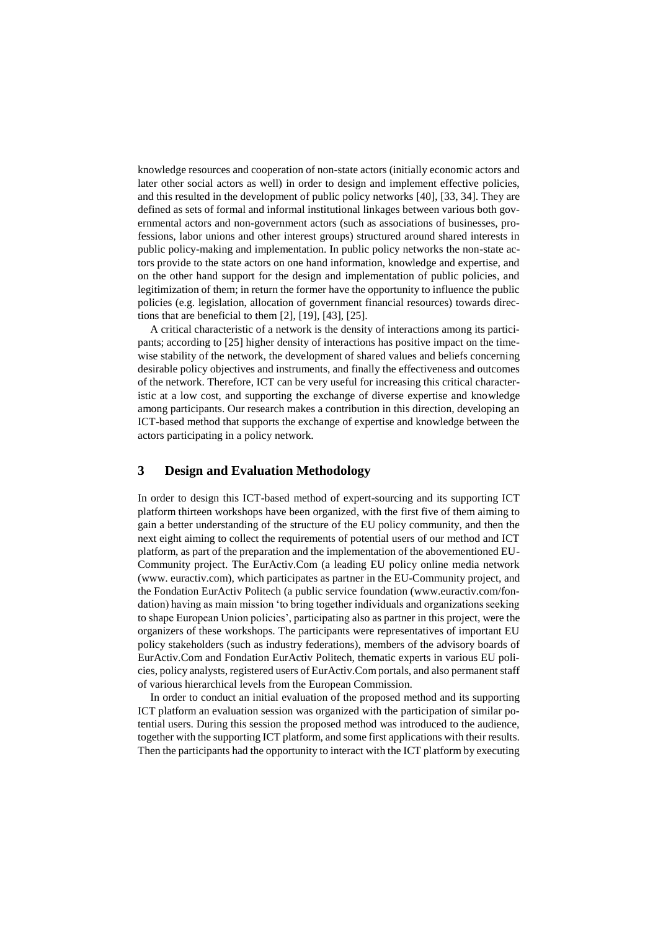knowledge resources and cooperation of non-state actors (initially economic actors and later other social actors as well) in order to design and implement effective policies, and this resulted in the development of public policy networks [\[40\]](#page-13-4), [\[33,](#page-13-5) [34\]](#page-13-6). They are defined as sets of formal and informal institutional linkages between various both governmental actors and non-government actors (such as associations of businesses, professions, labor unions and other interest groups) structured around shared interests in public policy-making and implementation. In public policy networks the non-state actors provide to the state actors on one hand information, knowledge and expertise, and on the other hand support for the design and implementation of public policies, and legitimization of them; in return the former have the opportunity to influence the public policies (e.g. legislation, allocation of government financial resources) towards directions that are beneficial to them [\[2\]](#page-11-2), [19], [\[43\]](#page-13-14), [\[25\]](#page-12-16).

A critical characteristic of a network is the density of interactions among its participants; according to [\[25\]](#page-12-16) higher density of interactions has positive impact on the timewise stability of the network, the development of shared values and beliefs concerning desirable policy objectives and instruments, and finally the effectiveness and outcomes of the network. Therefore, ICT can be very useful for increasing this critical characteristic at a low cost, and supporting the exchange of diverse expertise and knowledge among participants. Our research makes a contribution in this direction, developing an ICT-based method that supports the exchange of expertise and knowledge between the actors participating in a policy network.

## **3 Design and Evaluation Methodology**

In order to design this ICT-based method of expert-sourcing and its supporting ICT platform thirteen workshops have been organized, with the first five of them aiming to gain a better understanding of the structure of the EU policy community, and then the next eight aiming to collect the requirements of potential users of our method and ICT platform, as part of the preparation and the implementation of the abovementioned EU-Community project. The EurActiv.Com (a leading EU policy online media network (www. euractiv.com), which participates as partner in the EU-Community project, and the Fondation EurActiv Politech (a public service foundation (www.euractiv.com/fondation) having as main mission 'to bring together individuals and organizations seeking to shape European Union policies', participating also as partner in this project, were the organizers of these workshops. The participants were representatives of important EU policy stakeholders (such as industry federations), members of the advisory boards of EurActiv.Com and Fondation EurActiv Politech, thematic experts in various EU policies, policy analysts, registered users of EurActiv.Com portals, and also permanent staff of various hierarchical levels from the European Commission.

In order to conduct an initial evaluation of the proposed method and its supporting ICT platform an evaluation session was organized with the participation of similar potential users. During this session the proposed method was introduced to the audience, together with the supporting ICT platform, and some first applications with their results. Then the participants had the opportunity to interact with the ICT platform by executing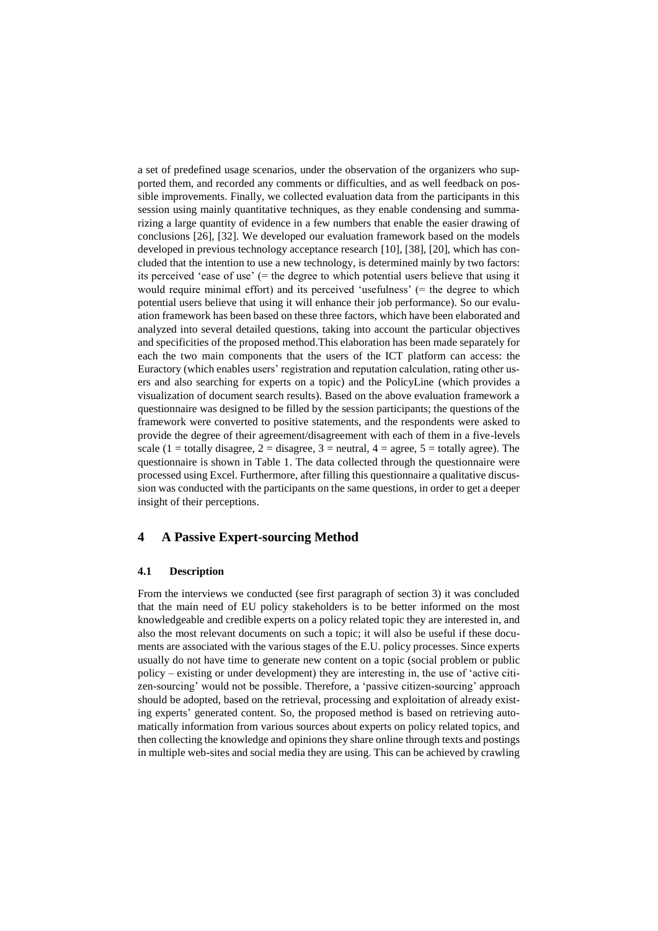a set of predefined usage scenarios, under the observation of the organizers who supported them, and recorded any comments or difficulties, and as well feedback on possible improvements. Finally, we collected evaluation data from the participants in this session using mainly quantitative techniques, as they enable condensing and summarizing a large quantity of evidence in a few numbers that enable the easier drawing of conclusions [\[26\]](#page-13-15), [\[32\]](#page-13-16). We developed our evaluation framework based on the models developed in previous technology acceptance research [\[10\]](#page-12-17), [\[38\]](#page-13-17), [\[20\]](#page-12-18), which has concluded that the intention to use a new technology, is determined mainly by two factors: its perceived 'ease of use'  $(=$  the degree to which potential users believe that using it would require minimal effort) and its perceived 'usefulness' (= the degree to which potential users believe that using it will enhance their job performance). So our evaluation framework has been based on these three factors, which have been elaborated and analyzed into several detailed questions, taking into account the particular objectives and specificities of the proposed method.This elaboration has been made separately for each the two main components that the users of the ICT platform can access: the Euractory (which enables users' registration and reputation calculation, rating other users and also searching for experts on a topic) and the PolicyLine (which provides a visualization of document search results). Based on the above evaluation framework a questionnaire was designed to be filled by the session participants; the questions of the framework were converted to positive statements, and the respondents were asked to provide the degree of their agreement/disagreement with each of them in a five-levels scale (1 = totally disagree, 2 = disagree, 3 = neutral, 4 = agree, 5 = totally agree). The questionnaire is shown in Table 1. The data collected through the questionnaire were processed using Excel. Furthermore, after filling this questionnaire a qualitative discussion was conducted with the participants on the same questions, in order to get a deeper insight of their perceptions.

## **4 A Passive Expert-sourcing Method**

#### **4.1 Description**

From the interviews we conducted (see first paragraph of section 3) it was concluded that the main need of EU policy stakeholders is to be better informed on the most knowledgeable and credible experts on a policy related topic they are interested in, and also the most relevant documents on such a topic; it will also be useful if these documents are associated with the various stages of the E.U. policy processes. Since experts usually do not have time to generate new content on a topic (social problem or public policy – existing or under development) they are interesting in, the use of 'active citizen-sourcing' would not be possible. Therefore, a 'passive citizen-sourcing' approach should be adopted, based on the retrieval, processing and exploitation of already existing experts' generated content. So, the proposed method is based on retrieving automatically information from various sources about experts on policy related topics, and then collecting the knowledge and opinions they share online through texts and postings in multiple web-sites and social media they are using. This can be achieved by crawling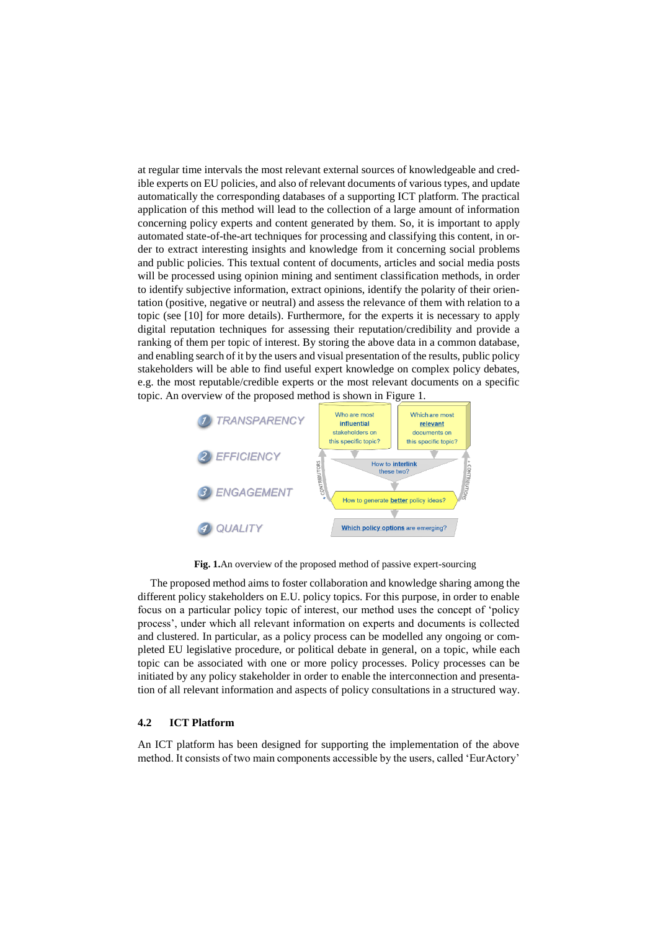at regular time intervals the most relevant external sources of knowledgeable and credible experts on EU policies, and also of relevant documents of various types, and update automatically the corresponding databases of a supporting ICT platform. The practical application of this method will lead to the collection of a large amount of information concerning policy experts and content generated by them. So, it is important to apply automated state-of-the-art techniques for processing and classifying this content, in order to extract interesting insights and knowledge from it concerning social problems and public policies. This textual content of documents, articles and social media posts will be processed using opinion mining and sentiment classification methods, in order to identify subjective information, extract opinions, identify the polarity of their orientation (positive, negative or neutral) and assess the relevance of them with relation to a topic (see [10] for more details). Furthermore, for the experts it is necessary to apply digital reputation techniques for assessing their reputation/credibility and provide a ranking of them per topic of interest. By storing the above data in a common database, and enabling search of it by the users and visual presentation of the results, public policy stakeholders will be able to find useful expert knowledge on complex policy debates, e.g. the most reputable/credible experts or the most relevant documents on a specific topic. An overview of the proposed method is shown in Figure 1.



**Fig. 1.**An overview of the proposed method of passive expert-sourcing

The proposed method aims to foster collaboration and knowledge sharing among the different policy stakeholders on E.U. policy topics. For this purpose, in order to enable focus on a particular policy topic of interest, our method uses the concept of 'policy process', under which all relevant information on experts and documents is collected and clustered. In particular, as a policy process can be modelled any ongoing or completed EU legislative procedure, or political debate in general, on a topic, while each topic can be associated with one or more policy processes. Policy processes can be initiated by any policy stakeholder in order to enable the interconnection and presentation of all relevant information and aspects of policy consultations in a structured way.

#### **4.2 ICT Platform**

An ICT platform has been designed for supporting the implementation of the above method. It consists of two main components accessible by the users, called 'EurActory'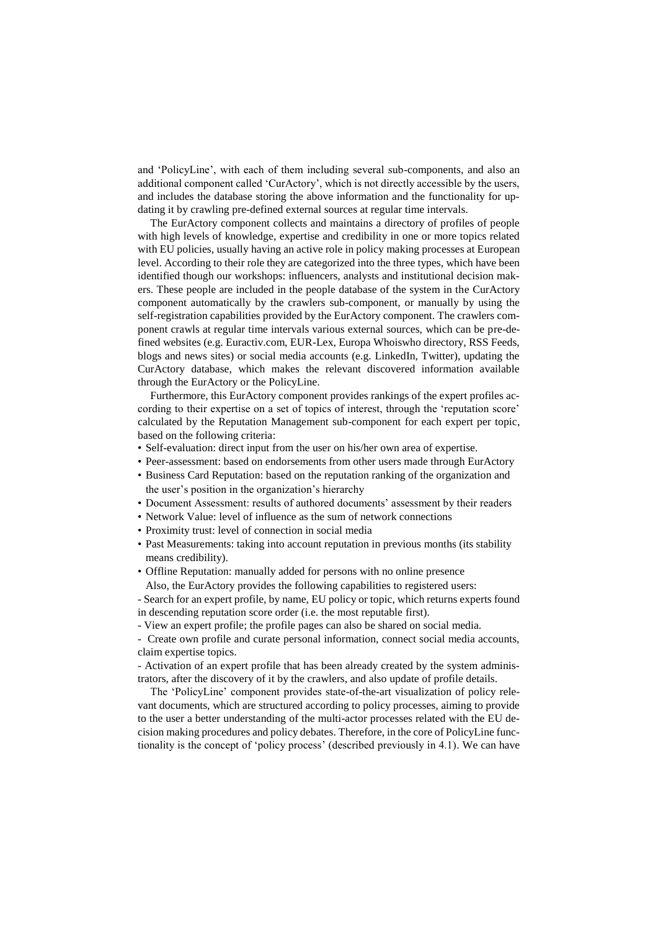and 'PolicyLine', with each of them including several sub-components, and also an additional component called 'CurActory', which is not directly accessible by the users, and includes the database storing the above information and the functionality for updating it by crawling pre-defined external sources at regular time intervals.

The EurActory component collects and maintains a directory of profiles of people with high levels of knowledge, expertise and credibility in one or more topics related with EU policies, usually having an active role in policy making processes at European level. According to their role they are categorized into the three types, which have been identified though our workshops: influencers, analysts and institutional decision makers. These people are included in the people database of the system in the CurActory component automatically by the crawlers sub-component, or manually by using the self-registration capabilities provided by the EurActory component. The crawlers component crawls at regular time intervals various external sources, which can be pre-defined websites (e.g. Euractiv.com, EUR-Lex, Europa Whoiswho directory, RSS Feeds, blogs and news sites) or social media accounts (e.g. LinkedIn, Twitter), updating the CurActory database, which makes the relevant discovered information available through the EurActory or the PolicyLine.

Furthermore, this EurActory component provides rankings of the expert profiles according to their expertise on a set of topics of interest, through the 'reputation score' calculated by the Reputation Management sub-component for each expert per topic, based on the following criteria:

- Self-evaluation: direct input from the user on his/her own area of expertise.
- Peer-assessment: based on endorsements from other users made through EurActory
- Business Card Reputation: based on the reputation ranking of the organization and the user's position in the organization's hierarchy
- Document Assessment: results of authored documents' assessment by their readers
- Network Value: level of influence as the sum of network connections
- Proximity trust: level of connection in social media
- Past Measurements: taking into account reputation in previous months (its stability means credibility).
- Offline Reputation: manually added for persons with no online presence
- Also, the EurActory provides the following capabilities to registered users:

- Search for an expert profile, by name, EU policy or topic, which returns experts found in descending reputation score order (i.e. the most reputable first).

- View an expert profile; the profile pages can also be shared on social media.

- Create own profile and curate personal information, connect social media accounts, claim expertise topics.

- Activation of an expert profile that has been already created by the system administrators, after the discovery of it by the crawlers, and also update of profile details.

The 'PolicyLine' component provides state-of-the-art visualization of policy relevant documents, which are structured according to policy processes, aiming to provide to the user a better understanding of the multi-actor processes related with the EU decision making procedures and policy debates. Therefore, in the core of PolicyLine functionality is the concept of 'policy process' (described previously in 4.1). We can have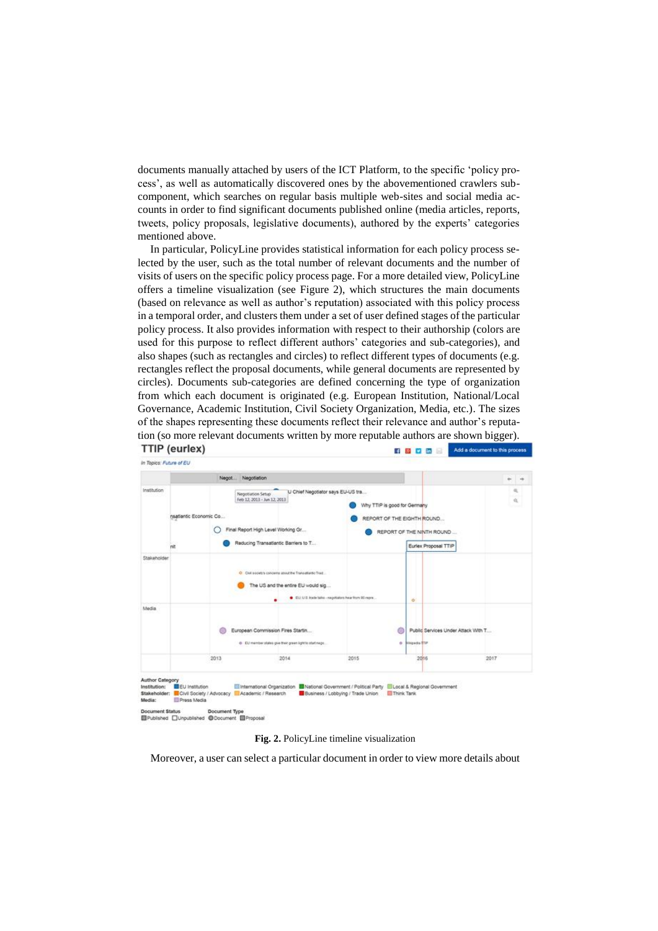documents manually attached by users of the ICT Platform, to the specific 'policy process', as well as automatically discovered ones by the abovementioned crawlers subcomponent, which searches on regular basis multiple web-sites and social media accounts in order to find significant documents published online (media articles, reports, tweets, policy proposals, legislative documents), authored by the experts' categories mentioned above.

In particular, PolicyLine provides statistical information for each policy process selected by the user, such as the total number of relevant documents and the number of visits of users on the specific policy process page. For a more detailed view, PolicyLine offers a timeline visualization (see Figure 2), which structures the main documents (based on relevance as well as author's reputation) associated with this policy process in a temporal order, and clusters them under a set of user defined stages of the particular policy process. It also provides information with respect to their authorship (colors are used for this purpose to reflect different authors' categories and sub-categories), and also shapes (such as rectangles and circles) to reflect different types of documents (e.g. rectangles reflect the proposal documents, while general documents are represented by circles). Documents sub-categories are defined concerning the type of organization from which each document is originated (e.g. European Institution, National/Local Governance, Academic Institution, Civil Society Organization, Media, etc.). The sizes of the shapes representing these documents reflect their relevance and author's reputation (so more relevant documents written by more reputable authors are shown bigger). TTIP (eurlex) ■ 四 四 回 Add a document to this proces



**Fig. 2.** PolicyLine timeline visualization

Moreover, a user can select a particular document in order to view more details about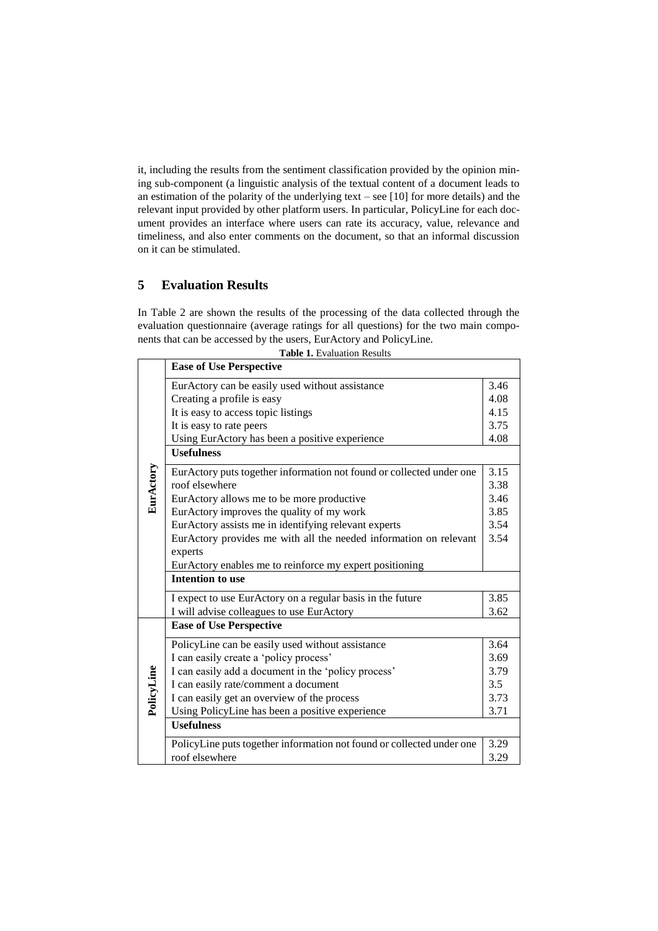it, including the results from the sentiment classification provided by the opinion mining sub-component (a linguistic analysis of the textual content of a document leads to an estimation of the polarity of the underlying text – see [10] for more details) and the relevant input provided by other platform users. In particular, PolicyLine for each document provides an interface where users can rate its accuracy, value, relevance and timeliness, and also enter comments on the document, so that an informal discussion on it can be stimulated.

# **5 Evaluation Results**

In Table 2 are shown the results of the processing of the data collected through the evaluation questionnaire (average ratings for all questions) for the two main components that can be accessed by the users, EurActory and PolicyLine.

|            | <b>Ease of Use Perspective</b>                                        |      |
|------------|-----------------------------------------------------------------------|------|
| EurActory  | EurActory can be easily used without assistance                       | 3.46 |
|            | Creating a profile is easy                                            | 4.08 |
|            | It is easy to access topic listings                                   | 4.15 |
|            | It is easy to rate peers                                              | 3.75 |
|            | Using EurActory has been a positive experience                        | 4.08 |
|            | <b>Usefulness</b>                                                     |      |
|            | EurActory puts together information not found or collected under one  | 3.15 |
|            | roof elsewhere                                                        | 3.38 |
|            | EurActory allows me to be more productive                             | 3.46 |
|            | EurActory improves the quality of my work                             | 3.85 |
|            | EurActory assists me in identifying relevant experts                  | 3.54 |
|            | EurActory provides me with all the needed information on relevant     | 3.54 |
|            | experts                                                               |      |
|            | EurActory enables me to reinforce my expert positioning               |      |
|            | <b>Intention to use</b>                                               |      |
|            | I expect to use EurActory on a regular basis in the future            | 3.85 |
|            | I will advise colleagues to use EurActory                             | 3.62 |
| PolicyLine | <b>Ease of Use Perspective</b>                                        |      |
|            | PolicyLine can be easily used without assistance                      | 3.64 |
|            | I can easily create a 'policy process'                                | 3.69 |
|            | I can easily add a document in the 'policy process'                   | 3.79 |
|            | I can easily rate/comment a document                                  | 3.5  |
|            | I can easily get an overview of the process                           | 3.73 |
|            | Using PolicyLine has been a positive experience                       | 3.71 |
|            | <b>Usefulness</b>                                                     |      |
|            | PolicyLine puts together information not found or collected under one | 3.29 |
|            | roof elsewhere                                                        | 3.29 |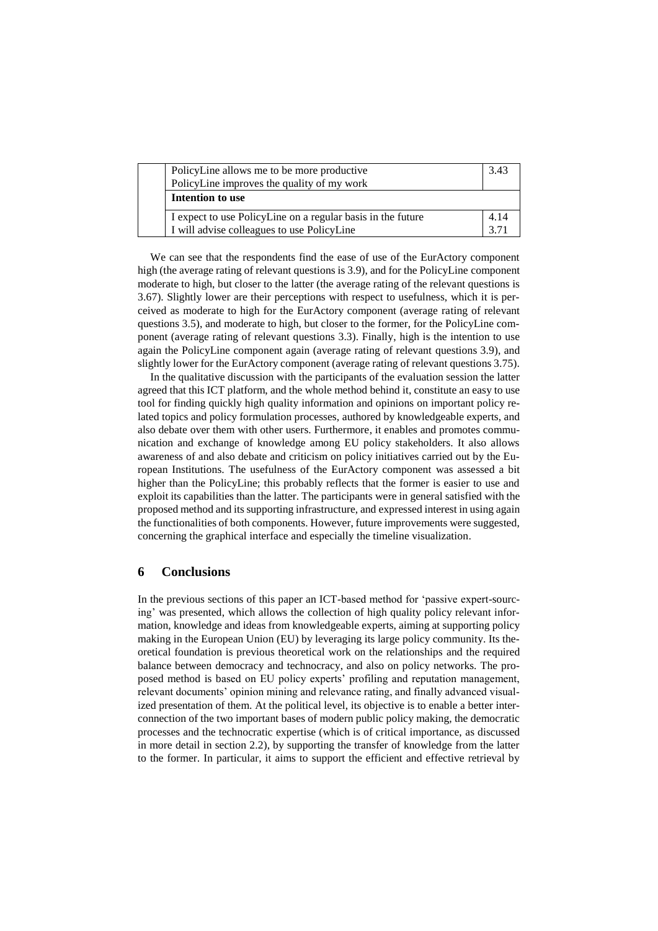| PolicyLine allows me to be more productive<br>PolicyLine improves the quality of my work | 3.43 |
|------------------------------------------------------------------------------------------|------|
| Intention to use                                                                         |      |
| I expect to use PolicyLine on a regular basis in the future                              | 4.14 |
| I will advise colleagues to use PolicyLine                                               | 37   |

We can see that the respondents find the ease of use of the EurActory component high (the average rating of relevant questions is 3.9), and for the PolicyLine component moderate to high, but closer to the latter (the average rating of the relevant questions is 3.67). Slightly lower are their perceptions with respect to usefulness, which it is perceived as moderate to high for the EurActory component (average rating of relevant questions 3.5), and moderate to high, but closer to the former, for the PolicyLine component (average rating of relevant questions 3.3). Finally, high is the intention to use again the PolicyLine component again (average rating of relevant questions 3.9), and slightly lower for the EurActory component (average rating of relevant questions 3.75).

In the qualitative discussion with the participants of the evaluation session the latter agreed that this ICT platform, and the whole method behind it, constitute an easy to use tool for finding quickly high quality information and opinions on important policy related topics and policy formulation processes, authored by knowledgeable experts, and also debate over them with other users. Furthermore, it enables and promotes communication and exchange of knowledge among EU policy stakeholders. It also allows awareness of and also debate and criticism on policy initiatives carried out by the European Institutions. The usefulness of the EurActory component was assessed a bit higher than the PolicyLine; this probably reflects that the former is easier to use and exploit its capabilities than the latter. The participants were in general satisfied with the proposed method and its supporting infrastructure, and expressed interest in using again the functionalities of both components. However, future improvements were suggested, concerning the graphical interface and especially the timeline visualization.

#### **6 Conclusions**

In the previous sections of this paper an ICT-based method for 'passive expert-sourcing' was presented, which allows the collection of high quality policy relevant information, knowledge and ideas from knowledgeable experts, aiming at supporting policy making in the European Union (EU) by leveraging its large policy community. Its theoretical foundation is previous theoretical work on the relationships and the required balance between democracy and technocracy, and also on policy networks. The proposed method is based on EU policy experts' profiling and reputation management, relevant documents' opinion mining and relevance rating, and finally advanced visualized presentation of them. At the political level, its objective is to enable a better interconnection of the two important bases of modern public policy making, the democratic processes and the technocratic expertise (which is of critical importance, as discussed in more detail in section 2.2), by supporting the transfer of knowledge from the latter to the former. In particular, it aims to support the efficient and effective retrieval by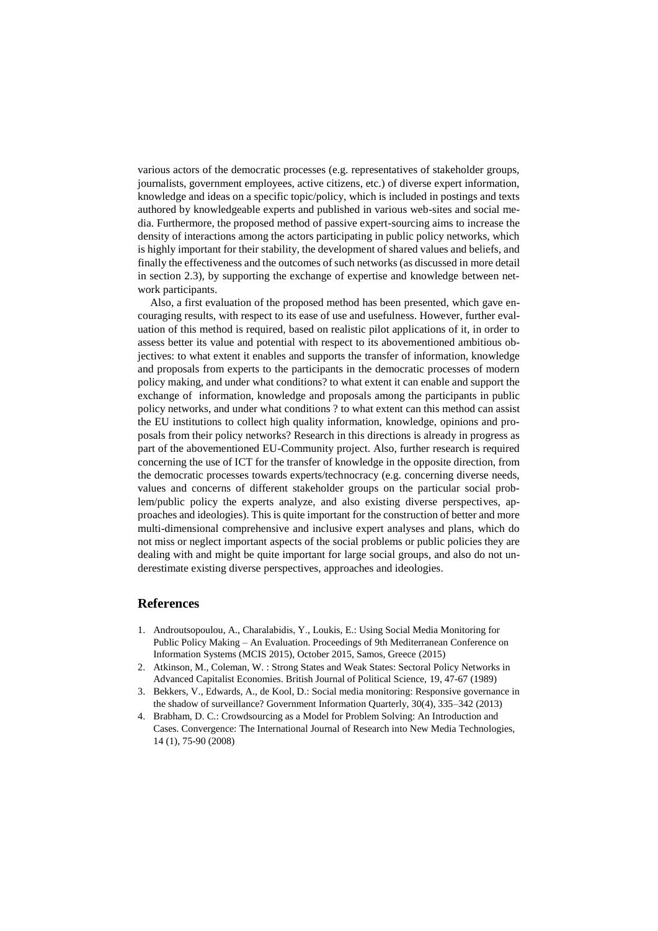various actors of the democratic processes (e.g. representatives of stakeholder groups, journalists, government employees, active citizens, etc.) of diverse expert information, knowledge and ideas on a specific topic/policy, which is included in postings and texts authored by knowledgeable experts and published in various web-sites and social media. Furthermore, the proposed method of passive expert-sourcing aims to increase the density of interactions among the actors participating in public policy networks, which is highly important for their stability, the development of shared values and beliefs, and finally the effectiveness and the outcomes of such networks (as discussed in more detail in section 2.3), by supporting the exchange of expertise and knowledge between network participants.

Also, a first evaluation of the proposed method has been presented, which gave encouraging results, with respect to its ease of use and usefulness. However, further evaluation of this method is required, based on realistic pilot applications of it, in order to assess better its value and potential with respect to its abovementioned ambitious objectives: to what extent it enables and supports the transfer of information, knowledge and proposals from experts to the participants in the democratic processes of modern policy making, and under what conditions? to what extent it can enable and support the exchange of information, knowledge and proposals among the participants in public policy networks, and under what conditions ? to what extent can this method can assist the EU institutions to collect high quality information, knowledge, opinions and proposals from their policy networks? Research in this directions is already in progress as part of the abovementioned EU-Community project. Also, further research is required concerning the use of ICT for the transfer of knowledge in the opposite direction, from the democratic processes towards experts/technocracy (e.g. concerning diverse needs, values and concerns of different stakeholder groups on the particular social problem/public policy the experts analyze, and also existing diverse perspectives, approaches and ideologies). This is quite important for the construction of better and more multi-dimensional comprehensive and inclusive expert analyses and plans, which do not miss or neglect important aspects of the social problems or public policies they are dealing with and might be quite important for large social groups, and also do not underestimate existing diverse perspectives, approaches and ideologies.

### **References**

- <span id="page-11-1"></span>1. Androutsopoulou, A., Charalabidis, Υ., Loukis, E.: Using Social Media Monitoring for Public Policy Making – An Evaluation. Proceedings of 9th Mediterranean Conference on Information Systems (MCIS 2015), October 2015, Samos, Greece (2015)
- <span id="page-11-2"></span>2. Atkinson, M., Coleman, W. : Strong States and Weak States: Sectoral Policy Networks in Advanced Capitalist Economies. British Journal of Political Science, 19, 47-67 (1989)
- 3. Bekkers, V., Edwards, A., de Kool, D.: Social media monitoring: Responsive governance in the shadow of surveillance? Government Information Quarterly, 30(4), 335–342 (2013)
- <span id="page-11-0"></span>4. Brabham, D. C.: Crowdsourcing as a Model for Problem Solving: An Introduction and Cases. Convergence: The International Journal of Research into New Media Technologies, 14 (1), 75-90 (2008)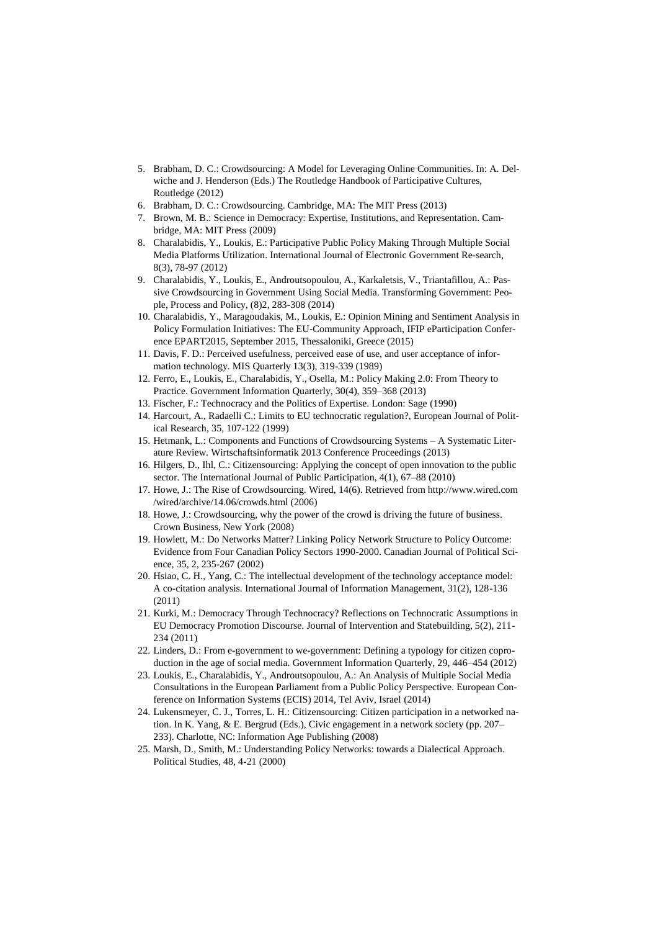- <span id="page-12-2"></span>5. Brabham, D. C.: Crowdsourcing: A Model for Leveraging Online Communities. In: A. Delwiche and J. Henderson (Eds.) The Routledge Handbook of Participative Cultures, Routledge (2012)
- <span id="page-12-3"></span>6. Brabham, D. C.: Crowdsourcing. Cambridge, MA: The MIT Press (2013)
- <span id="page-12-9"></span>7. Brown, M. B.: Science in Democracy: Expertise, Institutions, and Representation. Cambridge, MA: MIT Press (2009)
- <span id="page-12-13"></span>8. Charalabidis, Y., Loukis, E.: Participative Public Policy Making Through Multiple Social Media Platforms Utilization. International Journal of Electronic Government Re-search, 8(3), 78-97 (2012)
- <span id="page-12-14"></span>9. Charalabidis, Y., Loukis, E., Androutsopoulou, A., Karkaletsis, V., Triantafillou, A.: Passive Crowdsourcing in Government Using Social Media. Transforming Government: People, Process and Policy, (8)2, 283-308 (2014)
- <span id="page-12-17"></span>10. Charalabidis, Y., Maragoudakis, M., Loukis, E.: Opinion Mining and Sentiment Analysis in Policy Formulation Initiatives: The EU-Community Approach, IFIP eParticipation Conference EPART2015, September 2015, Thessaloniki, Greece (2015)
- 11. Davis, F. D.: Perceived usefulness, perceived ease of use, and user acceptance of information technology. MIS Quarterly 13(3), 319-339 (1989)
- <span id="page-12-5"></span>12. Ferro, E., Loukis, E., Charalabidis, Y., Osella, M.: Policy Making 2.0: From Theory to Practice. Government Information Quarterly, 30(4), 359–368 (2013)
- <span id="page-12-7"></span>13. Fischer, F.: Technocracy and the Politics of Expertise. London: Sage (1990)
- <span id="page-12-8"></span>14. Harcourt, A., Radaelli C.: Limits to EU technocratic regulation?, European Journal of Political Research, 35, 107-122 (1999)
- <span id="page-12-4"></span>15. Hetmank, L.: Components and Functions of Crowdsourcing Systems – A Systematic Literature Review. Wirtschaftsinformatik 2013 Conference Proceedings (2013)
- <span id="page-12-11"></span>16. Hilgers, D., Ihl, C.: Citizensourcing: Applying the concept of open innovation to the public sector. The International Journal of Public Participation, 4(1), 67–88 (2010)
- <span id="page-12-0"></span>17. Howe, J.: The Rise of Crowdsourcing. Wired, 14(6). Retrieved from http://www.wired.com /wired/archive/14.06/crowds.html (2006)
- <span id="page-12-1"></span>18. Howe, J.: Crowdsourcing, why the power of the crowd is driving the future of business. Crown Business, New York (2008)
- 19. Howlett, M.: Do Networks Matter? Linking Policy Network Structure to Policy Outcome: Evidence from Four Canadian Policy Sectors 1990-2000. Canadian Journal of Political Science, 35, 2, 235-267 (2002)
- <span id="page-12-18"></span>20. Hsiao, C. H., Yang, C.: The intellectual development of the technology acceptance model: A co-citation analysis. International Journal of Information Management, 31(2), 128-136 (2011)
- <span id="page-12-15"></span>21. Kurki, M.: Democracy Through Technocracy? Reflections on Technocratic Assumptions in EU Democracy Promotion Discourse. Journal of Intervention and Statebuilding, 5(2), 211- 234 (2011)
- <span id="page-12-12"></span>22. Linders, D.: From e-government to we-government: Defining a typology for citizen coproduction in the age of social media. Government Information Quarterly, 29, 446–454 (2012)
- <span id="page-12-6"></span>23. Loukis, E., Charalabidis, Y., Androutsopoulou, A.: An Analysis of Multiple Social Media Consultations in the European Parliament from a Public Policy Perspective. European Conference on Information Systems (ECIS) 2014, Tel Aviv, Israel (2014)
- <span id="page-12-10"></span>24. Lukensmeyer, C. J., Torres, L. H.: Citizensourcing: Citizen participation in a networked nation. In K. Yang, & E. Bergrud (Eds.), Civic engagement in a network society (pp. 207– 233). Charlotte, NC: Information Age Publishing (2008)
- <span id="page-12-16"></span>25. Marsh, D., Smith, M.: Understanding Policy Networks: towards a Dialectical Approach. Political Studies, 48, 4-21 (2000)